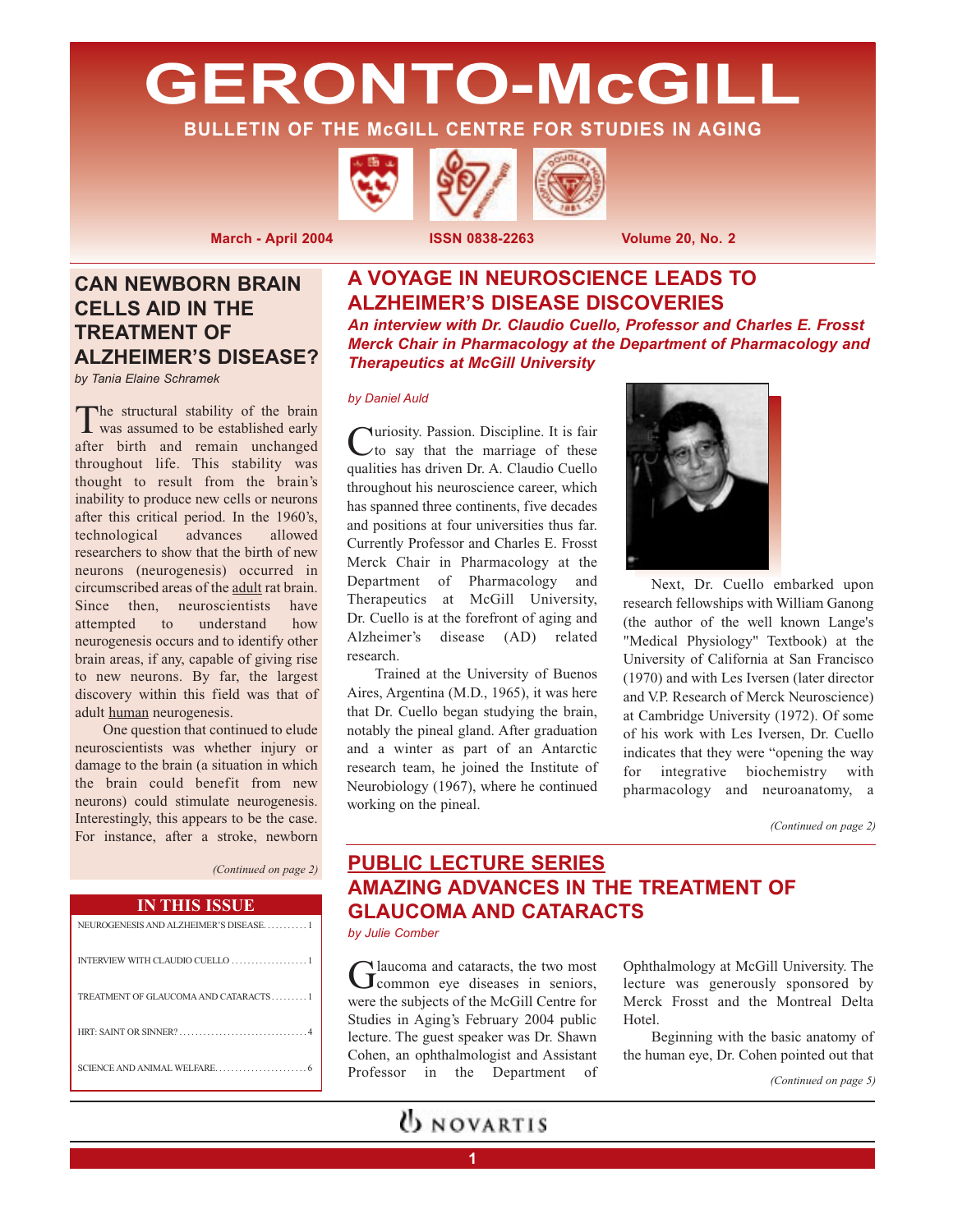**GERONTO-McGILL**

**BULLETIN OF THE McGILL CENTRE FOR STUDIES IN AGING**





## **CAN NEWBORN BRAIN CELLS AID IN THE TREATMENT OF ALZHEIMER'S DISEASE?**

*by Tania Elaine Schramek*

The structural stability of the brain<br>was assumed to be established early after birth and remain unchanged throughout life. This stability was thought to result from the brain's inability to produce new cells or neurons after this critical period. In the 1960's, technological advances allowed researchers to show that the birth of new neurons (neurogenesis) occurred in circumscribed areas of the adult rat brain. Since then, neuroscientists have attempted to understand how neurogenesis occurs and to identify other brain areas, if any, capable of giving rise to new neurons. By far, the largest discovery within this field was that of adult human neurogenesis.

One question that continued to elude neuroscientists was whether injury or damage to the brain (a situation in which the brain could benefit from new neurons) could stimulate neurogenesis. Interestingly, this appears to be the case. For instance, after a stroke, newborn

*(Continued on page 2)*

### **IN THIS ISSUE**

# **A VOYAGE IN NEUROSCIENCE LEADS TO ALZHEIMER'S DISEASE DISCOVERIES**

*An interview with Dr. Claudio Cuello, Professor and Charles E. Frosst Merck Chair in Pharmacology at the Department of Pharmacology and Therapeutics at McGill University*

#### *by Daniel Auld*

Curiosity. Passion. Discipline. It is fair to say that the marriage of these qualities has driven Dr. A. Claudio Cuello throughout his neuroscience career, which has spanned three continents, five decades and positions at four universities thus far. Currently Professor and Charles E. Frosst Merck Chair in Pharmacology at the Department of Pharmacology and Therapeutics at McGill University, Dr. Cuello is at the forefront of aging and Alzheimer's disease (AD) related research.

Trained at the University of Buenos Aires, Argentina (M.D., 1965), it was here that Dr. Cuello began studying the brain, notably the pineal gland. After graduation and a winter as part of an Antarctic research team, he joined the Institute of Neurobiology (1967), where he continued working on the pineal.



Next, Dr. Cuello embarked upon research fellowships with William Ganong (the author of the well known Lange's "Medical Physiology" Textbook) at the University of California at San Francisco (1970) and with Les Iversen (later director and V.P. Research of Merck Neuroscience) at Cambridge University (1972). Of some of his work with Les Iversen, Dr. Cuello indicates that they were "opening the way for integrative biochemistry with pharmacology and neuroanatomy, a

*(Continued on page 2)*

## **PUBLIC LECTURE SERIES AMAZING ADVANCES IN THE TREATMENT OF GLAUCOMA AND CATARACTS**

*by Julie Comber*

Glaucoma and cataracts, the two most<br>
Grommon eye diseases in seniors, were the subjects of the McGill Centre for Studies in Aging's February 2004 public lecture. The guest speaker was Dr. Shawn Cohen, an ophthalmologist and Assistant Professor in the Department of

**1**

**UNOVARTIS** 

Ophthalmology at McGill University. The lecture was generously sponsored by Merck Frosst and the Montreal Delta Hotel.

Beginning with the basic anatomy of the human eye, Dr. Cohen pointed out that

*(Continued on page 5)*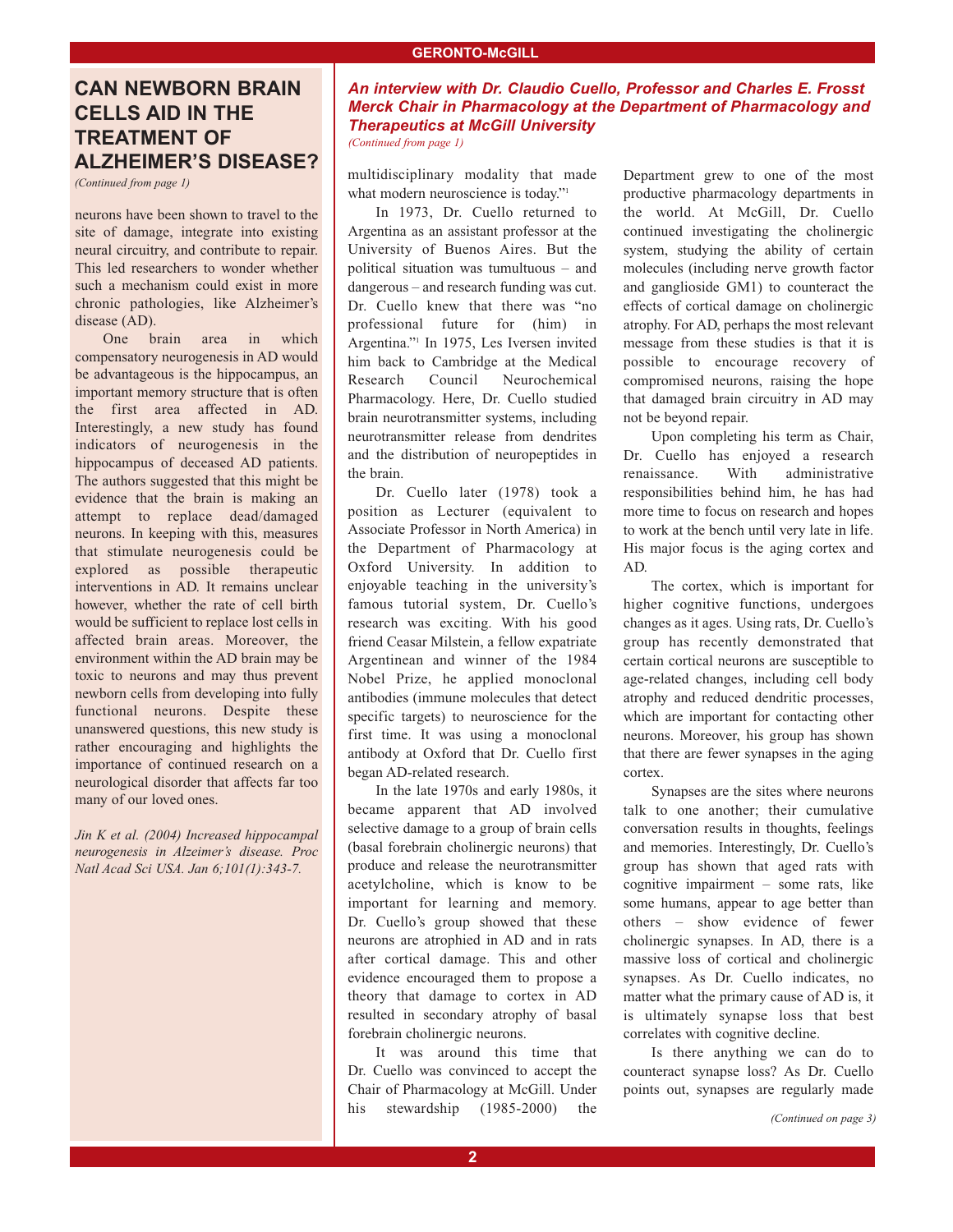## **CAN NEWBORN BRAIN CELLS AID IN THE TREATMENT OF ALZHEIMER'S DISEASE?**

*(Continued from page 1)*

neurons have been shown to travel to the site of damage, integrate into existing neural circuitry, and contribute to repair. This led researchers to wonder whether such a mechanism could exist in more chronic pathologies, like Alzheimer's disease (AD).

One brain area in which compensatory neurogenesis in AD would be advantageous is the hippocampus, an important memory structure that is often the first area affected in AD. Interestingly, a new study has found indicators of neurogenesis in the hippocampus of deceased AD patients. The authors suggested that this might be evidence that the brain is making an attempt to replace dead/damaged neurons. In keeping with this, measures that stimulate neurogenesis could be explored as possible therapeutic interventions in AD. It remains unclear however, whether the rate of cell birth would be sufficient to replace lost cells in affected brain areas. Moreover, the environment within the AD brain may be toxic to neurons and may thus prevent newborn cells from developing into fully functional neurons. Despite these unanswered questions, this new study is rather encouraging and highlights the importance of continued research on a neurological disorder that affects far too many of our loved ones.

*Jin K et al. (2004) Increased hippocampal neurogenesis in Alzeimer's disease. Proc Natl Acad Sci USA. Jan 6;101(1):343-7.*

### *An interview with Dr. Claudio Cuello, Professor and Charles E. Frosst Merck Chair in Pharmacology at the Department of Pharmacology and Therapeutics at McGill University (Continued from page 1)*

multidisciplinary modality that made what modern neuroscience is today."<sup>1</sup>

In 1973, Dr. Cuello returned to Argentina as an assistant professor at the University of Buenos Aires. But the political situation was tumultuous – and dangerous – and research funding was cut. Dr. Cuello knew that there was "no professional future for (him) in Argentina."1 In 1975, Les Iversen invited him back to Cambridge at the Medical Research Council Neurochemical Pharmacology. Here, Dr. Cuello studied brain neurotransmitter systems, including neurotransmitter release from dendrites and the distribution of neuropeptides in the brain.

Dr. Cuello later (1978) took a position as Lecturer (equivalent to Associate Professor in North America) in the Department of Pharmacology at Oxford University. In addition to enjoyable teaching in the university's famous tutorial system, Dr. Cuello's research was exciting. With his good friend Ceasar Milstein, a fellow expatriate Argentinean and winner of the 1984 Nobel Prize, he applied monoclonal antibodies (immune molecules that detect specific targets) to neuroscience for the first time. It was using a monoclonal antibody at Oxford that Dr. Cuello first began AD-related research.

In the late 1970s and early 1980s, it became apparent that AD involved selective damage to a group of brain cells (basal forebrain cholinergic neurons) that produce and release the neurotransmitter acetylcholine, which is know to be important for learning and memory. Dr. Cuello's group showed that these neurons are atrophied in AD and in rats after cortical damage. This and other evidence encouraged them to propose a theory that damage to cortex in AD resulted in secondary atrophy of basal forebrain cholinergic neurons.

It was around this time that Dr. Cuello was convinced to accept the Chair of Pharmacology at McGill. Under his stewardship (1985-2000) the

Department grew to one of the most productive pharmacology departments in the world. At McGill, Dr. Cuello continued investigating the cholinergic system, studying the ability of certain molecules (including nerve growth factor and ganglioside GM1) to counteract the effects of cortical damage on cholinergic atrophy. For AD, perhaps the most relevant message from these studies is that it is possible to encourage recovery of compromised neurons, raising the hope that damaged brain circuitry in AD may not be beyond repair.

Upon completing his term as Chair, Dr. Cuello has enjoyed a research renaissance. With administrative responsibilities behind him, he has had more time to focus on research and hopes to work at the bench until very late in life. His major focus is the aging cortex and AD.

The cortex, which is important for higher cognitive functions, undergoes changes as it ages. Using rats, Dr. Cuello's group has recently demonstrated that certain cortical neurons are susceptible to age-related changes, including cell body atrophy and reduced dendritic processes, which are important for contacting other neurons. Moreover, his group has shown that there are fewer synapses in the aging cortex.

Synapses are the sites where neurons talk to one another; their cumulative conversation results in thoughts, feelings and memories. Interestingly, Dr. Cuello's group has shown that aged rats with cognitive impairment – some rats, like some humans, appear to age better than others – show evidence of fewer cholinergic synapses. In AD, there is a massive loss of cortical and cholinergic synapses. As Dr. Cuello indicates, no matter what the primary cause of AD is, it is ultimately synapse loss that best correlates with cognitive decline.

Is there anything we can do to counteract synapse loss? As Dr. Cuello points out, synapses are regularly made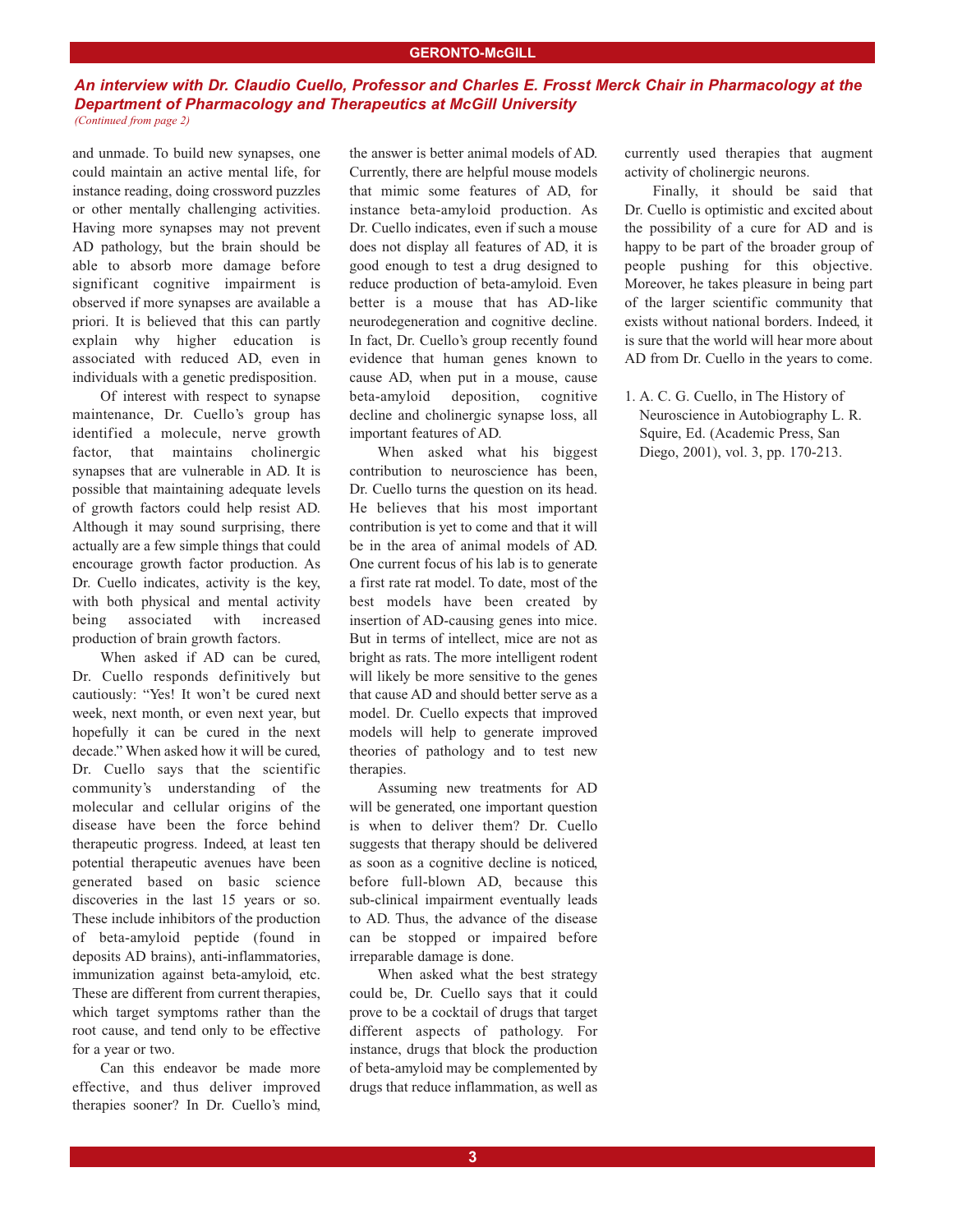#### **GERONTO-McGILL**

### *An interview with Dr. Claudio Cuello, Professor and Charles E. Frosst Merck Chair in Pharmacology at the Department of Pharmacology and Therapeutics at McGill University (Continued from page 2)*

and unmade. To build new synapses, one could maintain an active mental life, for instance reading, doing crossword puzzles or other mentally challenging activities. Having more synapses may not prevent AD pathology, but the brain should be able to absorb more damage before significant cognitive impairment is observed if more synapses are available a priori. It is believed that this can partly explain why higher education is associated with reduced AD, even in individuals with a genetic predisposition.

Of interest with respect to synapse maintenance, Dr. Cuello's group has identified a molecule, nerve growth factor, that maintains cholinergic synapses that are vulnerable in AD. It is possible that maintaining adequate levels of growth factors could help resist AD. Although it may sound surprising, there actually are a few simple things that could encourage growth factor production. As Dr. Cuello indicates, activity is the key, with both physical and mental activity being associated with increased production of brain growth factors.

When asked if AD can be cured, Dr. Cuello responds definitively but cautiously: "Yes! It won't be cured next week, next month, or even next year, but hopefully it can be cured in the next decade." When asked how it will be cured, Dr. Cuello says that the scientific community's understanding of the molecular and cellular origins of the disease have been the force behind therapeutic progress. Indeed, at least ten potential therapeutic avenues have been generated based on basic science discoveries in the last 15 years or so. These include inhibitors of the production of beta-amyloid peptide (found in deposits AD brains), anti-inflammatories, immunization against beta-amyloid, etc. These are different from current therapies, which target symptoms rather than the root cause, and tend only to be effective for a year or two.

Can this endeavor be made more effective, and thus deliver improved therapies sooner? In Dr. Cuello's mind, the answer is better animal models of AD. Currently, there are helpful mouse models that mimic some features of AD, for instance beta-amyloid production. As Dr. Cuello indicates, even if such a mouse does not display all features of AD, it is good enough to test a drug designed to reduce production of beta-amyloid. Even better is a mouse that has AD-like neurodegeneration and cognitive decline. In fact, Dr. Cuello's group recently found evidence that human genes known to cause AD, when put in a mouse, cause beta-amyloid deposition, cognitive decline and cholinergic synapse loss, all important features of AD.

When asked what his biggest contribution to neuroscience has been, Dr. Cuello turns the question on its head. He believes that his most important contribution is yet to come and that it will be in the area of animal models of AD. One current focus of his lab is to generate a first rate rat model. To date, most of the best models have been created by insertion of AD-causing genes into mice. But in terms of intellect, mice are not as bright as rats. The more intelligent rodent will likely be more sensitive to the genes that cause AD and should better serve as a model. Dr. Cuello expects that improved models will help to generate improved theories of pathology and to test new therapies.

Assuming new treatments for AD will be generated, one important question is when to deliver them? Dr. Cuello suggests that therapy should be delivered as soon as a cognitive decline is noticed, before full-blown AD, because this sub-clinical impairment eventually leads to AD. Thus, the advance of the disease can be stopped or impaired before irreparable damage is done.

When asked what the best strategy could be, Dr. Cuello says that it could prove to be a cocktail of drugs that target different aspects of pathology. For instance, drugs that block the production of beta-amyloid may be complemented by drugs that reduce inflammation, as well as currently used therapies that augment activity of cholinergic neurons.

Finally, it should be said that Dr. Cuello is optimistic and excited about the possibility of a cure for AD and is happy to be part of the broader group of people pushing for this objective. Moreover, he takes pleasure in being part of the larger scientific community that exists without national borders. Indeed, it is sure that the world will hear more about AD from Dr. Cuello in the years to come.

1. A. C. G. Cuello, in The History of Neuroscience in Autobiography L. R. Squire, Ed. (Academic Press, San Diego, 2001), vol. 3, pp. 170-213.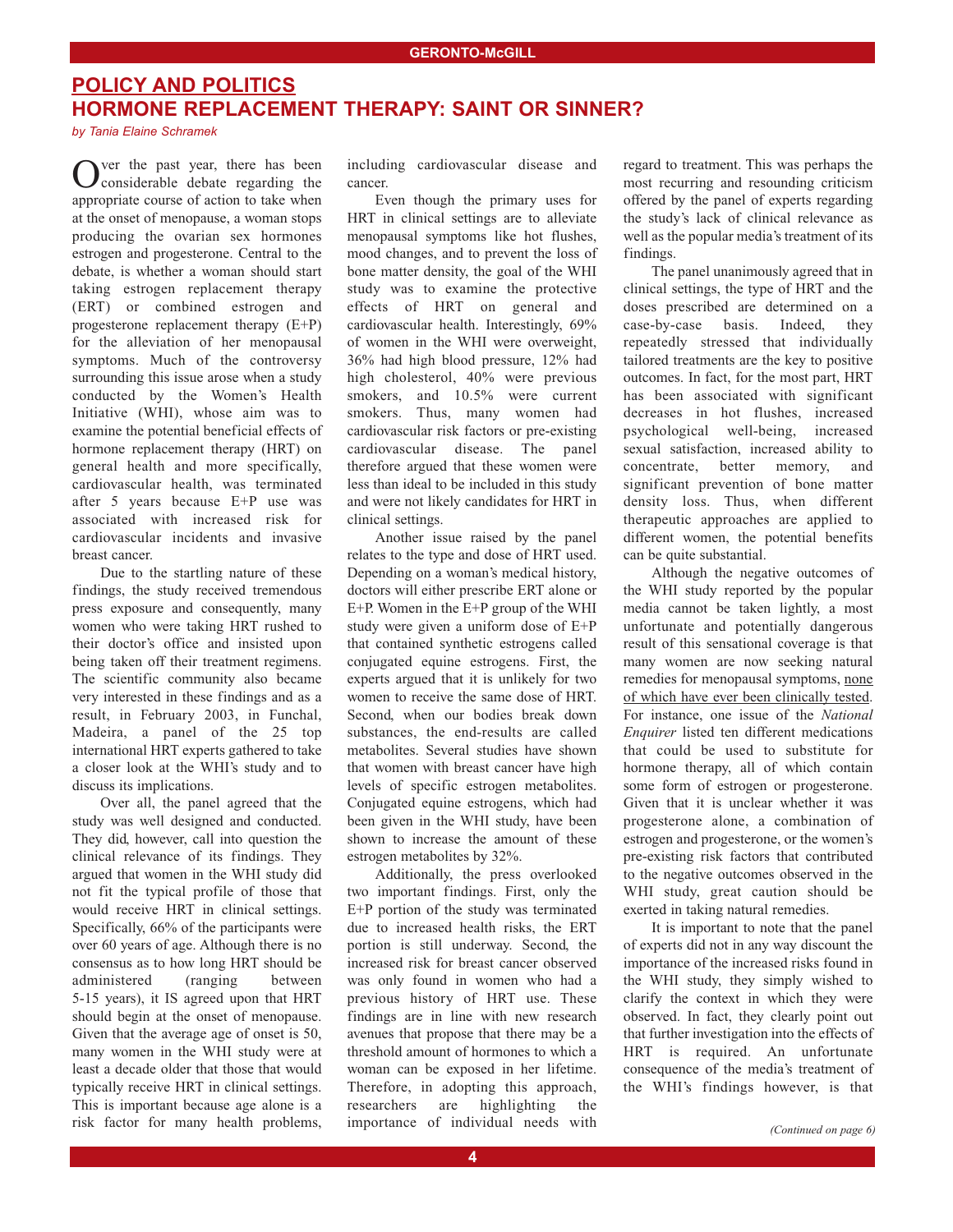## **POLICY AND POLITICS HORMONE REPLACEMENT THERAPY: SAINT OR SINNER?**

*by Tania Elaine Schramek*

ver the past year, there has been **J** considerable debate regarding the appropriate course of action to take when at the onset of menopause, a woman stops producing the ovarian sex hormones estrogen and progesterone. Central to the debate, is whether a woman should start taking estrogen replacement therapy (ERT) or combined estrogen and progesterone replacement therapy (E+P) for the alleviation of her menopausal symptoms. Much of the controversy surrounding this issue arose when a study conducted by the Women's Health Initiative (WHI), whose aim was to examine the potential beneficial effects of hormone replacement therapy (HRT) on general health and more specifically, cardiovascular health, was terminated after 5 years because E+P use was associated with increased risk for cardiovascular incidents and invasive breast cancer.

Due to the startling nature of these findings, the study received tremendous press exposure and consequently, many women who were taking HRT rushed to their doctor's office and insisted upon being taken off their treatment regimens. The scientific community also became very interested in these findings and as a result, in February 2003, in Funchal, Madeira, a panel of the 25 top international HRT experts gathered to take a closer look at the WHI's study and to discuss its implications.

Over all, the panel agreed that the study was well designed and conducted. They did, however, call into question the clinical relevance of its findings. They argued that women in the WHI study did not fit the typical profile of those that would receive HRT in clinical settings. Specifically, 66% of the participants were over 60 years of age. Although there is no consensus as to how long HRT should be administered (ranging between 5-15 years), it IS agreed upon that HRT should begin at the onset of menopause. Given that the average age of onset is 50, many women in the WHI study were at least a decade older that those that would typically receive HRT in clinical settings. This is important because age alone is a risk factor for many health problems,

including cardiovascular disease and cancer.

Even though the primary uses for HRT in clinical settings are to alleviate menopausal symptoms like hot flushes, mood changes, and to prevent the loss of bone matter density, the goal of the WHI study was to examine the protective effects of HRT on general and cardiovascular health. Interestingly, 69% of women in the WHI were overweight, 36% had high blood pressure, 12% had high cholesterol, 40% were previous smokers, and 10.5% were current smokers. Thus, many women had cardiovascular risk factors or pre-existing cardiovascular disease. The panel therefore argued that these women were less than ideal to be included in this study and were not likely candidates for HRT in clinical settings.

Another issue raised by the panel relates to the type and dose of HRT used. Depending on a woman's medical history, doctors will either prescribe ERT alone or E+P. Women in the E+P group of the WHI study were given a uniform dose of E+P that contained synthetic estrogens called conjugated equine estrogens. First, the experts argued that it is unlikely for two women to receive the same dose of HRT. Second, when our bodies break down substances, the end-results are called metabolites. Several studies have shown that women with breast cancer have high levels of specific estrogen metabolites. Conjugated equine estrogens, which had been given in the WHI study, have been shown to increase the amount of these estrogen metabolites by 32%.

Additionally, the press overlooked two important findings. First, only the E+P portion of the study was terminated due to increased health risks, the ERT portion is still underway. Second, the increased risk for breast cancer observed was only found in women who had a previous history of HRT use. These findings are in line with new research avenues that propose that there may be a threshold amount of hormones to which a woman can be exposed in her lifetime. Therefore, in adopting this approach, researchers are highlighting the importance of individual needs with regard to treatment. This was perhaps the most recurring and resounding criticism offered by the panel of experts regarding the study's lack of clinical relevance as well as the popular media's treatment of its findings.

The panel unanimously agreed that in clinical settings, the type of HRT and the doses prescribed are determined on a case-by-case basis. Indeed, they repeatedly stressed that individually tailored treatments are the key to positive outcomes. In fact, for the most part, HRT has been associated with significant decreases in hot flushes, increased psychological well-being, increased sexual satisfaction, increased ability to concentrate, better memory, and significant prevention of bone matter density loss. Thus, when different therapeutic approaches are applied to different women, the potential benefits can be quite substantial.

Although the negative outcomes of the WHI study reported by the popular media cannot be taken lightly, a most unfortunate and potentially dangerous result of this sensational coverage is that many women are now seeking natural remedies for menopausal symptoms, none of which have ever been clinically tested. For instance, one issue of the *National Enquirer* listed ten different medications that could be used to substitute for hormone therapy, all of which contain some form of estrogen or progesterone. Given that it is unclear whether it was progesterone alone, a combination of estrogen and progesterone, or the women's pre-existing risk factors that contributed to the negative outcomes observed in the WHI study, great caution should be exerted in taking natural remedies.

It is important to note that the panel of experts did not in any way discount the importance of the increased risks found in the WHI study, they simply wished to clarify the context in which they were observed. In fact, they clearly point out that further investigation into the effects of HRT is required. An unfortunate consequence of the media's treatment of the WHI's findings however, is that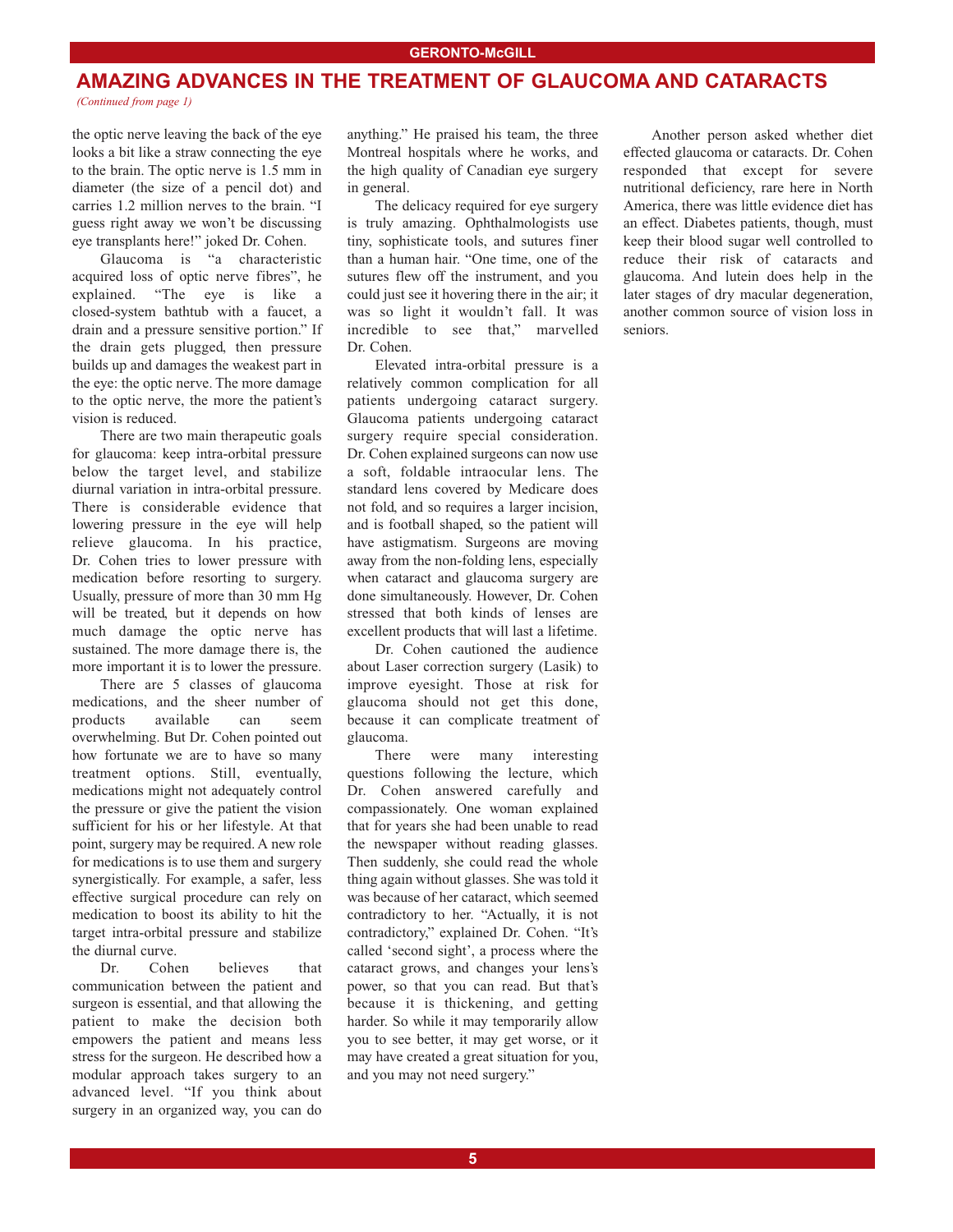### **AMAZING ADVANCES IN THE TREATMENT OF GLAUCOMA AND CATARACTS** *(Continued from page 1)*

the optic nerve leaving the back of the eye looks a bit like a straw connecting the eye to the brain. The optic nerve is 1.5 mm in diameter (the size of a pencil dot) and carries 1.2 million nerves to the brain. "I guess right away we won't be discussing eye transplants here!" joked Dr. Cohen.

Glaucoma is "a characteristic acquired loss of optic nerve fibres", he explained. "The eye is like a closed-system bathtub with a faucet, a drain and a pressure sensitive portion." If the drain gets plugged, then pressure builds up and damages the weakest part in the eye: the optic nerve. The more damage to the optic nerve, the more the patient's vision is reduced.

There are two main therapeutic goals for glaucoma: keep intra-orbital pressure below the target level, and stabilize diurnal variation in intra-orbital pressure. There is considerable evidence that lowering pressure in the eye will help relieve glaucoma. In his practice, Dr. Cohen tries to lower pressure with medication before resorting to surgery. Usually, pressure of more than 30 mm Hg will be treated, but it depends on how much damage the optic nerve has sustained. The more damage there is, the more important it is to lower the pressure.

There are 5 classes of glaucoma medications, and the sheer number of products available can seem overwhelming. But Dr. Cohen pointed out how fortunate we are to have so many treatment options. Still, eventually, medications might not adequately control the pressure or give the patient the vision sufficient for his or her lifestyle. At that point, surgery may be required. A new role for medications is to use them and surgery synergistically. For example, a safer, less effective surgical procedure can rely on medication to boost its ability to hit the target intra-orbital pressure and stabilize the diurnal curve.

Dr. Cohen believes that communication between the patient and surgeon is essential, and that allowing the patient to make the decision both empowers the patient and means less stress for the surgeon. He described how a modular approach takes surgery to an advanced level. "If you think about surgery in an organized way, you can do

anything." He praised his team, the three Montreal hospitals where he works, and the high quality of Canadian eye surgery in general.

The delicacy required for eye surgery is truly amazing. Ophthalmologists use tiny, sophisticate tools, and sutures finer than a human hair. "One time, one of the sutures flew off the instrument, and you could just see it hovering there in the air; it was so light it wouldn't fall. It was incredible to see that," marvelled Dr. Cohen.

Elevated intra-orbital pressure is a relatively common complication for all patients undergoing cataract surgery. Glaucoma patients undergoing cataract surgery require special consideration. Dr. Cohen explained surgeons can now use a soft, foldable intraocular lens. The standard lens covered by Medicare does not fold, and so requires a larger incision, and is football shaped, so the patient will have astigmatism. Surgeons are moving away from the non-folding lens, especially when cataract and glaucoma surgery are done simultaneously. However, Dr. Cohen stressed that both kinds of lenses are excellent products that will last a lifetime.

Dr. Cohen cautioned the audience about Laser correction surgery (Lasik) to improve eyesight. Those at risk for glaucoma should not get this done, because it can complicate treatment of glaucoma.

There were many interesting questions following the lecture, which Dr. Cohen answered carefully and compassionately. One woman explained that for years she had been unable to read the newspaper without reading glasses. Then suddenly, she could read the whole thing again without glasses. She was told it was because of her cataract, which seemed contradictory to her. "Actually, it is not contradictory," explained Dr. Cohen. "It's called 'second sight', a process where the cataract grows, and changes your lens's power, so that you can read. But that's because it is thickening, and getting harder. So while it may temporarily allow you to see better, it may get worse, or it may have created a great situation for you, and you may not need surgery."

Another person asked whether diet effected glaucoma or cataracts. Dr. Cohen responded that except for severe nutritional deficiency, rare here in North America, there was little evidence diet has an effect. Diabetes patients, though, must keep their blood sugar well controlled to reduce their risk of cataracts and glaucoma. And lutein does help in the later stages of dry macular degeneration, another common source of vision loss in seniors.